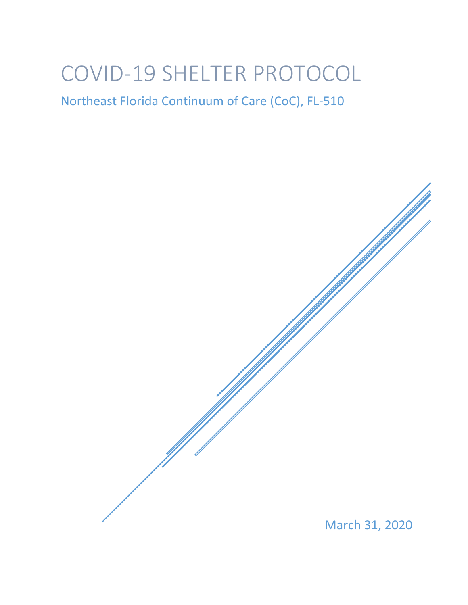# COVID-19 SHELTER PROTOCOL

## Northeast Florida Continuum of Care (CoC), FL-510

March 31, 2020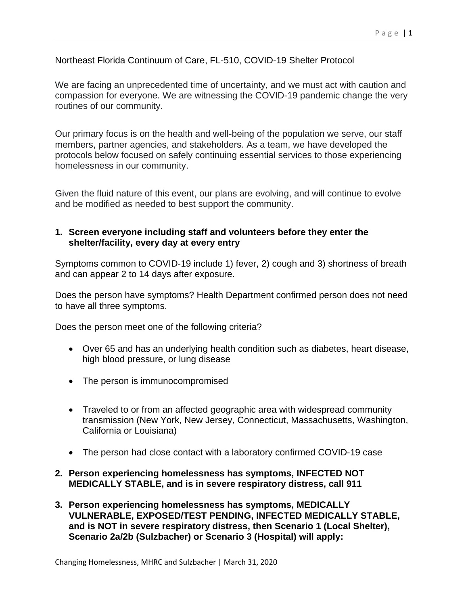Northeast Florida Continuum of Care, FL-510, COVID-19 Shelter Protocol

We are facing an unprecedented time of uncertainty, and we must act with caution and compassion for everyone. We are witnessing the COVID-19 pandemic change the very routines of our community.

Our primary focus is on the health and well-being of the population we serve, our staff members, partner agencies, and stakeholders. As a team, we have developed the protocols below focused on safely continuing essential services to those experiencing homelessness in our community.

Given the fluid nature of this event, our plans are evolving, and will continue to evolve and be modified as needed to best support the community.

#### **1. Screen everyone including staff and volunteers before they enter the shelter/facility, every day at every entry**

Symptoms common to COVID-19 include 1) fever, 2) cough and 3) shortness of breath and can appear 2 to 14 days after exposure.

Does the person have symptoms? Health Department confirmed person does not need to have all three symptoms.

Does the person meet one of the following criteria?

- Over 65 and has an underlying health condition such as diabetes, heart disease, high blood pressure, or lung disease
- The person is immunocompromised
- Traveled to or from an affected geographic area with widespread community transmission (New York, New Jersey, Connecticut, Massachusetts, Washington, California or Louisiana)
- The person had close contact with a laboratory confirmed COVID-19 case
- **2. Person experiencing homelessness has symptoms, INFECTED NOT MEDICALLY STABLE, and is in severe respiratory distress, call 911**
- **3. Person experiencing homelessness has symptoms, MEDICALLY VULNERABLE, EXPOSED/TEST PENDING, INFECTED MEDICALLY STABLE, and is NOT in severe respiratory distress, then Scenario 1 (Local Shelter), Scenario 2a/2b (Sulzbacher) or Scenario 3 (Hospital) will apply:**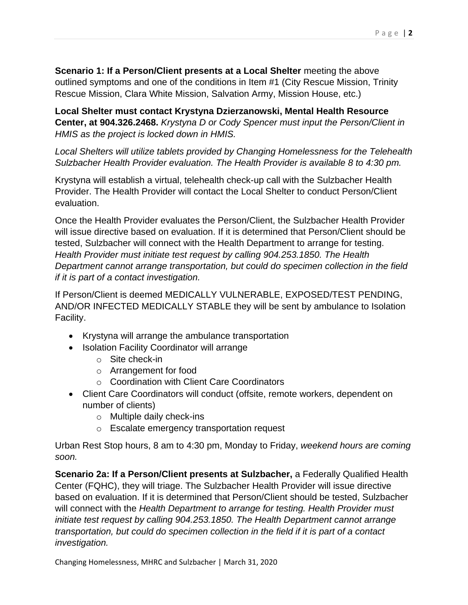**Scenario 1: If a Person/Client presents at a Local Shelter** meeting the above outlined symptoms and one of the conditions in Item #1 (City Rescue Mission, Trinity Rescue Mission, Clara White Mission, Salvation Army, Mission House, etc.)

**Local Shelter must contact Krystyna Dzierzanowski, Mental Health Resource Center, at 904.326.2468.** *Krystyna D or Cody Spencer must input the Person/Client in HMIS as the project is locked down in HMIS.* 

*Local Shelters will utilize tablets provided by Changing Homelessness for the Telehealth Sulzbacher Health Provider evaluation. The Health Provider is available 8 to 4:30 pm.* 

Krystyna will establish a virtual, telehealth check-up call with the Sulzbacher Health Provider. The Health Provider will contact the Local Shelter to conduct Person/Client evaluation.

Once the Health Provider evaluates the Person/Client, the Sulzbacher Health Provider will issue directive based on evaluation. If it is determined that Person/Client should be tested, Sulzbacher will connect with the Health Department to arrange for testing. *Health Provider must initiate test request by calling 904.253.1850. The Health Department cannot arrange transportation, but could do specimen collection in the field if it is part of a contact investigation.*

If Person/Client is deemed MEDICALLY VULNERABLE, EXPOSED/TEST PENDING, AND/OR INFECTED MEDICALLY STABLE they will be sent by ambulance to Isolation Facility.

- Krystyna will arrange the ambulance transportation
- Isolation Facility Coordinator will arrange
	- o Site check-in
	- o Arrangement for food
	- o Coordination with Client Care Coordinators
- Client Care Coordinators will conduct (offsite, remote workers, dependent on number of clients)
	- o Multiple daily check-ins
	- o Escalate emergency transportation request

Urban Rest Stop hours, 8 am to 4:30 pm, Monday to Friday, *weekend hours are coming soon.*

**Scenario 2a: If a Person/Client presents at Sulzbacher,** a Federally Qualified Health Center (FQHC), they will triage. The Sulzbacher Health Provider will issue directive based on evaluation. If it is determined that Person/Client should be tested, Sulzbacher will connect with the *Health Department to arrange for testing. Health Provider must initiate test request by calling 904.253.1850. The Health Department cannot arrange transportation, but could do specimen collection in the field if it is part of a contact investigation.*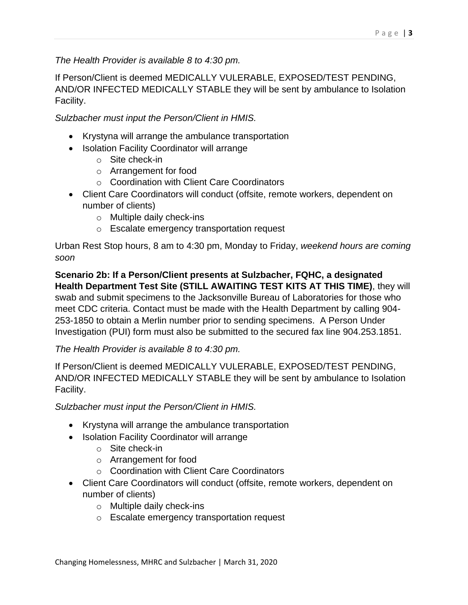### *The Health Provider is available 8 to 4:30 pm.*

If Person/Client is deemed MEDICALLY VULERABLE, EXPOSED/TEST PENDING, AND/OR INFECTED MEDICALLY STABLE they will be sent by ambulance to Isolation Facility.

*Sulzbacher must input the Person/Client in HMIS.*

- Krystyna will arrange the ambulance transportation
- Isolation Facility Coordinator will arrange
	- o Site check-in
	- o Arrangement for food
	- o Coordination with Client Care Coordinators
- Client Care Coordinators will conduct (offsite, remote workers, dependent on number of clients)
	- o Multiple daily check-ins
	- o Escalate emergency transportation request

Urban Rest Stop hours, 8 am to 4:30 pm, Monday to Friday, *weekend hours are coming soon*

**Scenario 2b: If a Person/Client presents at Sulzbacher, FQHC, a designated Health Department Test Site (STILL AWAITING TEST KITS AT THIS TIME)**, they will swab and submit specimens to the Jacksonville Bureau of Laboratories for those who meet CDC criteria. Contact must be made with the Health Department by calling 904- 253-1850 to obtain a Merlin number prior to sending specimens. A Person Under Investigation (PUI) form must also be submitted to the secured fax line 904.253.1851.

#### *The Health Provider is available 8 to 4:30 pm.*

If Person/Client is deemed MEDICALLY VULERABLE, EXPOSED/TEST PENDING, AND/OR INFECTED MEDICALLY STABLE they will be sent by ambulance to Isolation Facility.

*Sulzbacher must input the Person/Client in HMIS.*

- Krystyna will arrange the ambulance transportation
- Isolation Facility Coordinator will arrange
	- o Site check-in
	- o Arrangement for food
	- o Coordination with Client Care Coordinators
- Client Care Coordinators will conduct (offsite, remote workers, dependent on number of clients)
	- o Multiple daily check-ins
	- o Escalate emergency transportation request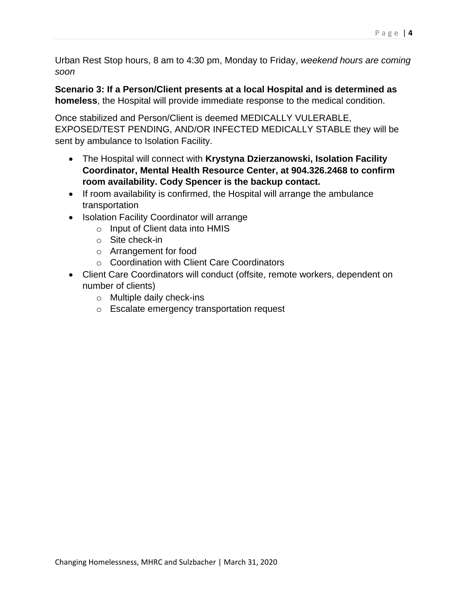Urban Rest Stop hours, 8 am to 4:30 pm, Monday to Friday, *weekend hours are coming soon*

**Scenario 3: If a Person/Client presents at a local Hospital and is determined as homeless**, the Hospital will provide immediate response to the medical condition.

Once stabilized and Person/Client is deemed MEDICALLY VULERABLE, EXPOSED/TEST PENDING, AND/OR INFECTED MEDICALLY STABLE they will be sent by ambulance to Isolation Facility.

- The Hospital will connect with **Krystyna Dzierzanowski, Isolation Facility Coordinator, Mental Health Resource Center, at 904.326.2468 to confirm room availability. Cody Spencer is the backup contact.**
- If room availability is confirmed, the Hospital will arrange the ambulance transportation
- Isolation Facility Coordinator will arrange
	- o Input of Client data into HMIS
	- o Site check-in
	- o Arrangement for food
	- o Coordination with Client Care Coordinators
- Client Care Coordinators will conduct (offsite, remote workers, dependent on number of clients)
	- o Multiple daily check-ins
	- o Escalate emergency transportation request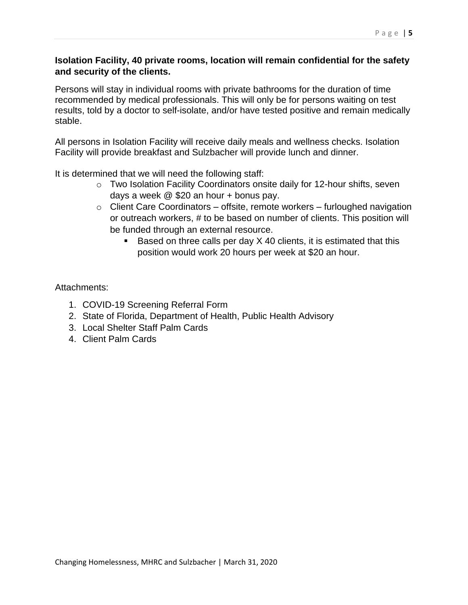#### P a g e | **5**

#### **Isolation Facility, 40 private rooms, location will remain confidential for the safety and security of the clients.**

Persons will stay in individual rooms with private bathrooms for the duration of time recommended by medical professionals. This will only be for persons waiting on test results, told by a doctor to self-isolate, and/or have tested positive and remain medically stable.

All persons in Isolation Facility will receive daily meals and wellness checks. Isolation Facility will provide breakfast and Sulzbacher will provide lunch and dinner.

It is determined that we will need the following staff:

- o Two Isolation Facility Coordinators onsite daily for 12-hour shifts, seven days a week @ \$20 an hour + bonus pay.
- $\circ$  Client Care Coordinators offsite, remote workers furloughed navigation or outreach workers, # to be based on number of clients. This position will be funded through an external resource.
	- Based on three calls per day X 40 clients, it is estimated that this position would work 20 hours per week at \$20 an hour.

#### Attachments:

- 1. COVID-19 Screening Referral Form
- 2. State of Florida, Department of Health, Public Health Advisory
- 3. Local Shelter Staff Palm Cards
- 4. Client Palm Cards